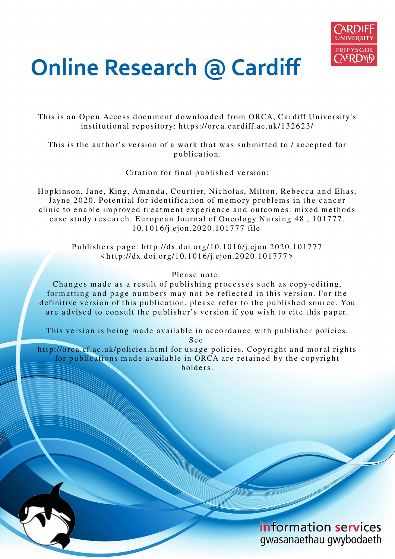

# **Online Research @ Cardiff**

This is an Open Access document downloaded from ORCA, Cardiff University's institutional repository: https://orca.cardiff.ac.uk/132623/

This is the author's version of a work that was submitted to / accepted for p u blication.

Citation for final published version:

Hopkinson, Jane, King, Amanda, Courtier, Nicholas, Milton, Rebecca and Elias, Jayne 2020. Potential for identification of memory problems in the cancer clinic to enable improved treatment experience and outcomes: mixed methods case study research. European Journal of Oncology Nursing 48, 101777. 1 0.1 0 1 6/j.ejon.20 2 0.10 1 7 7 7 file

Publishers page: http://dx.doi.org/10.1016/j.ejon.2020.101777  $\langle \text{http://dx.doi.org/10.1016/j.ejon.2020.101777>}$ 

## Please note:

Changes made as a result of publishing processes such as copy-editing, formatting and page numbers may not be reflected in this version. For the definitive version of this publication, please refer to the published source. You are advised to consult the publisher's version if you wish to cite this paper.

This version is being made available in accordance with publisher policies.

S e e

http://orca.cf.ac.uk/policies.html for usage policies. Copyright and moral rights for publications made available in ORCA are retained by the copyright holders.

> information services gwasanaethau gwybodaeth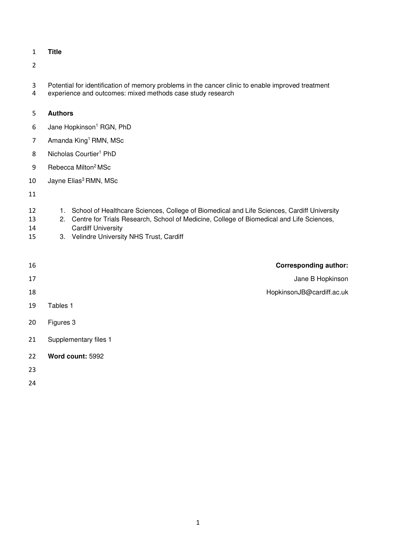**Title** 

- Potential for identification of memory problems in the cancer clinic to enable improved treatment
- experience and outcomes: mixed methods case study research

#### **Authors**

- 6 Jane Hopkinson<sup>1</sup> RGN, PhD
- 7 Amanda King<sup>1</sup> RMN, MSc
- 8 Nicholas Courtier<sup>1</sup> PhD
- 9 Rebecca Milton<sup>2</sup> MSc
- 10 Jayne Elias<sup>3</sup> RMN, MSc

- 12 1. School of Healthcare Sciences, College of Biomedical and Life Sciences, Cardiff University
- 2. Centre for Trials Research, School of Medicine, College of Biomedical and Life Sciences,
- Cardiff University
- 3. Velindre University NHS Trust, Cardiff
- **Corresponding author:**  17 Jane B Hopkinson HopkinsonJB@cardiff.ac.uk Tables 1 Figures 3 Supplementary files 1 **Word count:** 5992
- 
-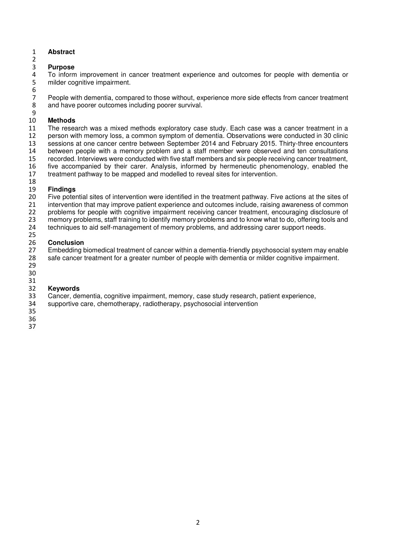#### **Abstract**

#### **Purpose**

To inform improvement in cancer treatment experience and outcomes for people with dementia or milder cognitive impairment.

7 People with dementia, compared to those without, experience more side effects from cancer treatment<br>8 and have poorer outcomes including poorer survival. and have poorer outcomes including poorer survival.

#### **Methods**

 The research was a mixed methods exploratory case study. Each case was a cancer treatment in a person with memory loss, a common symptom of dementia. Observations were conducted in 30 clinic sessions at one cancer centre between September 2014 and February 2015. Thirty-three encounters between people with a memory problem and a staff member were observed and ten consultations recorded. Interviews were conducted with five staff members and six people receiving cancer treatment, five accompanied by their carer. Analysis, informed by hermeneutic phenomenology, enabled the treatment pathway to be mapped and modelled to reveal sites for intervention. 

 **Findings**  Five potential sites of intervention were identified in the treatment pathway. Five actions at the sites of intervention that may improve patient experience and outcomes include, raising awareness of common problems for people with cognitive impairment receiving cancer treatment, encouraging disclosure of memory problems, staff training to identify memory problems and to know what to do, offering tools and techniques to aid self-management of memory problems, and addressing carer support needs.

## 

 **Conclusion**  27 Embedding biomedical treatment of cancer within a dementia-friendly psychosocial system may enable<br>28 safe cancer treatment for a greater number of people with dementia or milder cognitive impairment. safe cancer treatment for a greater number of people with dementia or milder cognitive impairment. 

# 

 **Keywords**  Cancer, dementia, cognitive impairment, memory, case study research, patient experience,

supportive care, chemotherapy, radiotherapy, psychosocial intervention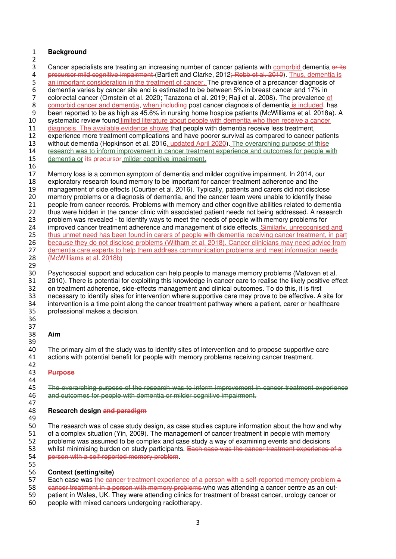#### **Background**

 3 Cancer specialists are treating an increasing number of cancer patients with comorbid dementia or its 4 precursor mild cognitive impairment (Bartlett and Clarke, 2012; Robb et al. 2010). Thus, dementia is 5 an important consideration in the treatment of cancer. The prevalence of a precancer diagnosis of dementia varies by cancer site and is estimated to be between 5% in breast cancer and 17% in 7 colorectal cancer (Ornstein et al. 2020; Tarazona et al. 2019; Raji et al. 2008). The prevalence of comorbid cancer and dementia, when including post cancer diagnosis of dementia is included, ha 8 comorbid cancer and dementia, when including post cancer diagnosis of dementia is included, has<br>9 been reported to be as high as 45.6% in nursing home hospice patients (McWilliams et al. 2018a). 9 been reported to be as high as 45.6% in nursing home hospice patients (McWilliams et al. 2018a). A<br>10 systematic review found limited literature about people with dementia who then receive a cancer systematic review found limited literature about people with dementia who then receive a cancer diagnosis. The available evidence shows that people with dementia receive less treatment, experience more treatment complications and have poorer survival as compared to cancer patients without dementia (Hopkinson et al. 2016, updated April 2020). The overarching purpose of thise research was to inform improvement in cancer treatment experience and outcomes for people with 15 dementia or its precursor milder cognitive impairment. Memory loss is a commonsymptom of dementia and milder cognitive impairment. In 2014, our exploratory research found memory to be important for cancer treatment adherence and the 19 management of side effects (Courtier et al. 2016). Typically, patients and carers did not disclose<br>20 memory problems or a diagnosis of dementia, and the cancer team were unable to identify these memory problems or a diagnosis of dementia, and the cancer team were unable to identify these people from cancer records. Problems with memory and other cognitive abilities related to dementia 22 thus were hidden in the cancer clinic with associated patient needs not being addressed. A research problem was revealed - to identify ways to meet the needs of people with memory problems for 24 improved cancer treatment adherence and management of side effects. Similarly, unrecognised and

25 thus unmet need has been found in carers of people with dementia receiving cancer treatment, in part 26 because they do not disclose problems (Witham et al. 2018). Cancer clinicians may need advice from 27 dementia care experts to help them address communication problems and meet information needs<br>28 (McWilliams et al. 2018b) (McWilliams et al. 2018b)

29<br>30 30 Psychosocial support and education can help people to manage memory problems (Matovan et al.<br>31 2010). There is potential for exploiting this knowledge in cancer care to realise the likely positive eft 31 2010). There is potential for exploiting this knowledge in cancer care to realise the likely positive effect 32 on treatment adherence, side-effects management and clinical outcomes. To do this, it is first on treatment adherence, side-effects management and clinical outcomes. To do this, it is first necessary to identify sites for intervention where supportive care may prove to be effective. A site for intervention is a time point along the cancer treatment pathway where a patient, carer or healthcare professional makes a decision. 

#### **Aim**

 The primary aim of the study was to identify sites of intervention and to propose supportive care actions with potential benefit for people with memory problems receiving cancer treatment.

#### **Purpose**

45 The overarching purpose of the research was to inform improvement in cancer treatment experience<br>46 and outcomes for people with dementia or milder cognitive impairment. and outcomes for people with dementia or milder cognitive impairment.

#### **Research design and paradigm**

 The research was of case study design, as case studies capture information about the how and why of a complex situation (Yin, 2009). The management of cancer treatment in people with memory problems was assumed to be complex and case study a way of examining events and decisions 53 whilst minimising burden on study participants. Each case was the cancer treatment experience of a person with a self-reported memory problem.

### **Context (setting/site)**

57 Each case was the cancer treatment experience of a person with a self-reported memory problem a 58 eancer treatment in a person with memory problems who was attending a cancer centre as an out- patient in Wales, UK. They were attending clinics for treatment of breast cancer, urology cancer or people with mixed cancers undergoing radiotherapy.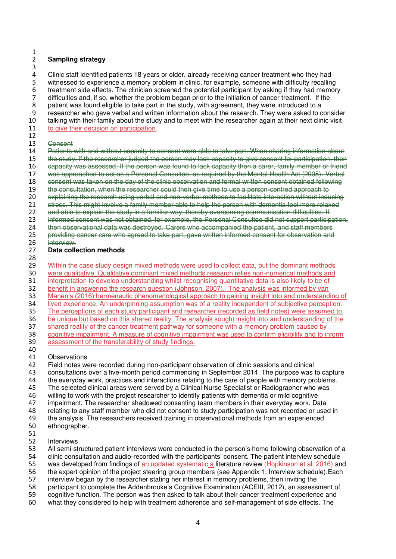#### **Sampling strategy**

 Clinic staff identified patients 18 years or older, already receiving cancer treatment who they had witnessed to experience a memory problem in clinic, for example, someone with difficulty recalling treatment side effects. The clinician screened the potential participant by asking if they had memory 7 difficulties and, if so, whether the problem began prior to the initiation of cancer treatment. If the part in the study with agreement, they were introduced to a 8 patient was found eligible to take part in the study, with agreement, they were introduced to a<br>9 researcher who gave verbal and written information about the research. They were asked to c 9 researcher who gave verbal and written information about the research. They were asked to consider<br>10 talking with their family about the study and to meet with the researcher again at their next clinic visit talking with their family about the study and to meet with the researcher again at their next clinic visit 11 to give their decision on participation.

Patients with and without capacity to consent were able to take part. When sharing information about

#### Consent

15 the study, if the researcher judged the person may lack capacity to give consent for participation, then capacity was assessed. If the person was found to lack capacity then a carer, family member or friend was approached to act as a Personal Consultee, as required by the Mental Health Act (2005). Verbal 18 consent was taken on the day of the clinic observation and formal written consent obtained following<br>19 the consultation, when the researcher could then give time to use a person-contred approach to 19 the consultation, when the researcher could then give time to use a person-centred approach to<br>20 explaining the research using verbal and non-verbal methods to facilitate interaction without indu explaining the research using verbal and non-verbal methods to facilitate interaction without inducing 21 stress. This might involve a family member able to help the person with dementia feel more relaxed 22 and able to explain the study in a familiar way, thereby overseming communication difficulties. If informed consent was not obtained, for example, the Personal Consultee did not support participation, then observational data was destroyed. Carers who accompanied the patient, and staff members providing cancer care who agreed to take part, gave written informed consent for observation and interview. **Data collection methods**  29 Within the case study design mixed methods were used to collect data, but the dominant methods<br>20 were qualitative. Qualitative dominant mixed methods research relies non-numerical methods and 30 were qualitative. Qualitative dominant mixed methods research relies non-numerical methods and<br>31 interpretation to develop understanding whilst recognising quantitative data is also likely to be of 31 interpretation to develop understanding whilst recognising quantitative data is also likely to be of 32 benefit in answering the research question (Johnson, 2007). The analysis was informed by van

benefit in answering the research question (Johnson, 2007). The analysis was informed by van Manen's (2016) hermeneutic phenomenological approach to gaining insight into and understanding of lived experience. An underpinning assumption was of a reality independent of subjective perception. The perceptions of each study participant and researcher (recorded as field notes) were assumed to be unique but based on this shared reality. The analysis sought insight into and understanding of the shared reality of the cancer treatment pathway for someone with a memory problem caused by cognitive impairment. A measure of cognitive impairment was used to confirm eligibility and to inform assessment of the transferability of study findings.

#### Observations

 Field notes were recorded during non-participant observation of clinic sessions and clinical consultations over a five-month period commencing in September 2014. The purpose was to capture the everyday work, practices and interactions relating to the care of people with memory problems. The selected clinical areas were served by a Clinical Nurse Specialist or Radiographer who was 46 willing to work with the project researcher to identify patients with dementia or mild cognitive<br>47 impairment. The researcher shadowed consenting team members in their everyday work. Da 47 impairment. The researcher shadowed consenting team members in their everyday work. Data<br>48 Felating to any staff member who did not consent to study participation was not recorded or use 48 relating to any staff member who did not consent to study participation was not recorded or used in<br>49 the analysis. The researchers received training in observational methods from an experienced 49 the analysis. The researchers received training in observational methods from an experienced<br>50 ethnographer. ethnographer. 

#### Interviews

 All semi-structured patient interviews were conducted in the person's home following observation of a clinic consultation and audio-recorded with the participants' consent. The patient interview schedule 55 was developed from findings of an updated systematic a literature review (Hopkinson et al. 2016) and

the expert opinion of the project steering group members (see Appendix 1: Interview schedule).Each

interview began by the researcher stating her interest in memory problems, then inviting the

- 
- 58 participant to complete the Addenbrooke's Cognitive Examination (ACEIII, 2012), an assessment of 59 cognitive function. The person was then asked to talk about their cancer treatment experience and cognitive function. The person was then asked to talk about their cancer treatment experience and
- what they considered to help with treatment adherence and self-management of side effects. The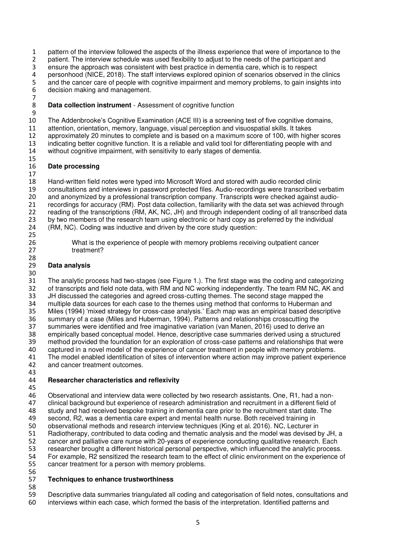pattern of the interview followed the aspects of the illness experience that were of importance to the 2 patient. The interview schedule was used flexibility to adjust to the needs of the participant and ensure the approach was consistent with best practice in dementia care, which is to respect personhood (NICE, 2018). The staff interviews explored opinion of scenarios observed in the clinics 5 and the cancer care of people with cognitive impairment and memory problems, to gain insights into decision making and management. 

**Data collection instrument** - Assessment of cognitive function

 The Addenbrooke's Cognitive Examination (ACE III) is a screening test of five cognitive domains, attention, orientation, memory, language, visual perception and visuospatial skills. It takes approximately 20 minutes to complete and is based on a maximum score of 100, with higher scores indicating better cognitive function. It is a reliable and valid tool for differentiating people with and without cognitive impairment, with sensitivity to early stages of dementia. 

### **Date processing**

 Hand-written field notes were typed into Microsoft Word and stored with audio recorded clinic 19 consultations and interviews in password protected files. Audio-recordings were transcribed verbatim<br>20 and anonymized by a professional transcription company. Transcripts were checked against audioand anonymized by a professional transcription company. Transcripts were checked against audio- recordings for accuracy (RM). Post data collection, familiarity with the data set was achieved through reading of the transcriptions (RM, AK, NC, JH) and through independent coding of all transcribed data by two members of the research team using electronic or hard copy as preferred by the individual (RM, NC). Coding was inductive and driven by the core study question: 

 What is the experience of people with memory problems receiving outpatient cancer 27 treatment?

### **Data analysis**

 The analytic process had two-stages (see Figure 1.). The first stage was the coding and categorizing of transcripts and field note data, with RM and NC working independently. The team RM NC, AK and JH discussed the categories and agreed cross-cutting themes. The second stage mapped the multiple data sources for each case to the themes using method that conforms to Huberman and Miles (1994) 'mixed strategy for cross-case analysis.' Each map was an empirical based descriptive summary of a case (Miles and Huberman, 1994). Patterns and relationships crosscutting the summaries were identified and free imaginative variation (van Manen, 2016) used to derive an empirically based conceptual model. Hence, descriptive case summaries derived using a structured method provided the foundation for an exploration of cross-case patterns and relationships that were captured in a novel model of the experience of cancer treatment in people with memory problems. The model enabled identification of sites of intervention where action may improve patient experience and cancer treatment outcomes.

#### **Researcher characteristics and reflexivity**

46 Observational and interview data were collected by two research assistants. One, R1, had a non-<br>47 clinical background but experience of research administration and recruitment in a different field of 47 clinical background but experience of research administration and recruitment in a different field of 48 study and had received bespoke training in dementia care prior to the recruitment start date. The 48 study and had received bespoke training in dementia care prior to the recruitment start date. The second, R2, was a dementia care expert and mental health nurse. Both received training in 49 second, R2, was a dementia care expert and mental health nurse. Both received training in<br>50 observational methods and research interview techniques (King et al. 2016). NC. Lecturer in observational methods and research interview techniques (King et al. 2016). NC, Lecturer in Radiotherapy, contributed to data coding and thematic analysis and the model was devised by JH, a cancer and palliative care nurse with 20-years of experience conducting qualitative research. Each researcher brought a different historical personal perspective, which influenced the analytic process. For example, R2 sensitized the research team to the effect of clinic environment on the experience of cancer treatment for a person with memory problems. 

#### **Techniques to enhance trustworthiness**

 Descriptive data summaries triangulated all coding and categorisation of field notes, consultations and interviews within each case, which formed the basis of the interpretation. Identified patterns and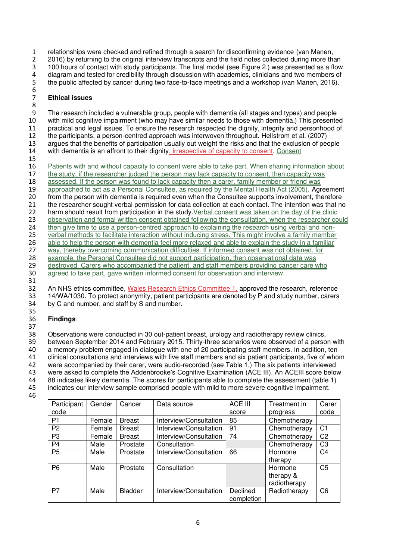1 relationships were checked and refined through a search for disconfirming evidence (van Manen, 2 2016) by returning to the original interview transcripts and the field notes collected during more than 3 100 hours of contact with study participants. The final model (see Figure 2.) was presented as a flow 4 diagram and tested for credibility through discussion with academics, clinicians and two members of 5 the public affected by cancer during two face-to-face meetings and a workshop (van Manen, 2016). 6

#### 7 **Ethical issues**

8 9 The research included a vulnerable group, people with dementia (all stages and types) and people<br>10 with mild cognitive impairment (who may have similar needs to those with dementia.) This presente with mild cognitive impairment (who may have similar needs to those with dementia.) This presented 11 practical and legal issues. To ensure the research respected the dignity, integrity and personhood of 12 the participants, a person-centred approach was interwoven throughout. Hellstrom et al. (2007) 13 argues that the benefits of participation usually out weight the risks and that the exclusion of people 14 with dementia is an affront to their dignity, irrespective of capacity to consent. Consent 15

16 Patients with and without capacity to consent were able to take part. When sharing information about 17 the study, if the researcher judged the person may lack capacity to consent, then capacity was 18 assessed. If the person was found to lack capacity then a carer, family member or friend was<br>19 approached to act as a Personal Consultee, as required by the Mental Health Act (2005). Agree 19 approached to act as a Personal Consultee, as required by the Mental Health Act (2005). Agreement<br>20 from the person with dementia is required even when the Consultee supports involvement, therefore from the person with dementia is required even when the Consultee supports involvement, therefore 21 the researcher sought verbal permission for data collection at each contact. The intention was that no 22 harm should result from participation in the study. Verbal consent was taken on the day of the clinic 23 observation and formal written consent obtained following the consultation, when the researcher could 24 then give time to use a person-centred approach to explaining the research using verbal and non-25 verbal methods to facilitate interaction without inducing stress. This might involve a family member 26 able to help the person with dementia feel more relaxed and able to explain the study in a familiar 27 way, thereby overcoming communication difficulties. If informed consent was not obtained, for example, the Personal Consultee did not support participation, then observational data was example, the Personal Consultee did not support participation, then observational data was<br>29 destroved. Carers who accompanied the patient, and staff members providing cancer care v 29 destroyed. Carers who accompanied the patient, and staff members providing cancer care who<br>30 agreed to take part, gave written informed consent for observation and interview. agreed to take part, gave written informed consent for observation and interview. 31

32 An NHS ethics committee, Wales Research Ethics Committee 1, approved the research, reference 33 14/WA/1030. To protect anonymity, patient participants are denoted by P and study number, carers 34 by C and number, and staff by S and number.

#### 36 **Findings**

35

37 Observations were conducted in 30 out-patient breast, urology and radiotherapy review clinics, between September 2014 and February 2015. Thirty-three scenarios were observed of a person with a memory problem engaged in dialogue with one of 20 participating staff members. In addition, ten clinical consultations and interviews with five staff members and six patient participants, five of whom were accompanied by their carer, were audio-recorded (see Table 1.) The six patients interviewed 43 were asked to complete the Addenbrooke's Cognitive Examination (ACE III). An ACEIII score below<br>44 88 indicates likely dementia. The scores for participants able to complete the assessment (table 1) 88 indicates likely dementia. The scores for participants able to complete the assessment (table 1) indicates our interview sample comprised people with mild to more severe cognitive impairment. 46

**Participant** code Gender Cancer Data source ACE III score Treatment in progress Carer code P1 Female Breast Interview/Consultation 85 Chemotherapy<br>
P2 Female Breast Interview/Consultation 91 Chemotherapy Female Breast | Interview/Consultation 91 | Chemotherapy C1 P3 Female Breast Interview/Consultation 74 Chemotherapy C2 P4 Male Prostate Consultation | Chemotherapy C3 P5 | Male | Prostate | Interview/Consultation | 66 | Hormone therapy C4 P6 Male Prostate Consultation **Hormone** Hormone therapy & radiotherapy C5 P7 Male Bladder Interview/Consultation Declined completion Radiotherapy | C6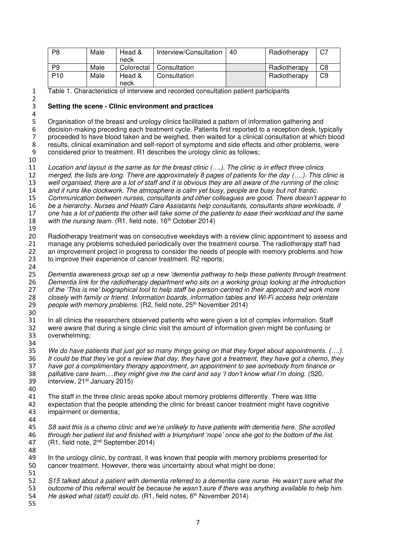| P <sub>8</sub>  | Male | Head &<br>neck | Interview/Consultation | 40 | Radiotherapy | C7 |
|-----------------|------|----------------|------------------------|----|--------------|----|
| P <sub>9</sub>  | Male | Colorectal     | Consultation           |    | Radiotherapy | C8 |
| P <sub>10</sub> | Male | Head &<br>neck | Consultation           |    | Radiotherapy | C9 |

Table 1. Characteristics of interview and recorded consultation patient participants

#### **Setting the scene - Clinic environment and practices**

Organisation of the breast and urology clinics facilitated a pattern of information gathering and decision-making preceding each treatment cycle. Patients first reported to a reception desk, typically proceeded to have blood taken and be weighed, then waited for a clinical consultation at which blood results, clinical examination and self-report of symptoms and side effects and other problems, were considered prior to treatment. R1 describes the urology clinic as follows;

 *Location and layout is the same as for the breast clinic (….). The clinic is in effect three clinics merged, the lists are long. There are approximately 8 pages of patients for the day (….). This clinic is*  well organised, there are a lot of staff and it is obvious they are all aware of the running of the clinic *and it runs like clockwork. The atmosphere is calm yet busy, people are busy but not frantic. Communication between nurses, consultants and other colleagues are good. There doesn't appear to be a hierarchy. Nurses and Heath Care Assistants help consultants, consultants share workloads, if one has a lot of patients the other will take some of the patients to ease their workload and the same*  18 with the nursing team. (R1, field note, 16<sup>th</sup> October 2014) 

 Radiotherapy treatment was on consecutive weekdays with a review clinic appointment to assess and manage any problems scheduled periodically over the treatment course. The radiotherapy staff had 22 an improvement project in progress to consider the needs of people with memory problems and how 23 to improve their experience of cancer treatment. R2 reports; 

 *Dementia awareness group set up a new 'dementia pathway to help these patients through treatment. Dementia link for the radiotherapy department who sits on a working group looking at the introduction of the 'This is me' biographical tool to help staff be person-centred in their approach and work more closely with family or friend. Information boards, information tables and Wi-Fi access help orientate*  29 people with memory problems. (R2, field note, 25<sup>th</sup> November 2014) 

 In all clinics the researchers observed patients who were given a lot of complex information. Staff were aware that during a single clinic visit the amount of information given might be confusing or overwhelming; 

 *We do have patients that just got so many things going on that they forget about appointments. (….). It could be that they've got a review that day, they have got a treatment, they have got a chemo, they have got a complimentary therapy appointment, an appointment to see somebody from finance or*  38 palliative care team....they might give me the card and say 'I don't know what I'm doing. (S20, 39 interview, 21<sup>st</sup> January 2015) interview,  $21<sup>st</sup>$  January 2015) 

 The staff in the three clinic areas spoke about memory problems differently. There was little expectation that the people attending the clinic for breast cancer treatment might have cognitive impairment or dementia;

- 
- *S8 said this is a chemo clinic and we're unlikely to have patients with dementia here. She scrolled*  46 *through her patient list and finished with a triumphant 'nope' once she got to the bottom of the list.*<br>47 (R1, field note, 2<sup>nd</sup> September 2014)  $(R1, field note, 2<sup>nd</sup> September 2014)$
- In the urology clinic, by contrast, it was known that people with memory problems presented for cancer treatment. However, there was uncertainty about what might be done;

52 S15 talked about a patient with dementia referred to a dementia care nurse. He wasn't sure what the **53** outcome of this referral would be because he wasn't sure was anything available to help him. 53 *outcome of this referral would be because he wasn't sure if there was anything available to help him.*<br>54 *He asked what (staff) could do.* (R1, field notes, 6<sup>th</sup> November 2014) *He asked what (staff) could do.* (R1, field notes, 6<sup>th</sup> November 2014)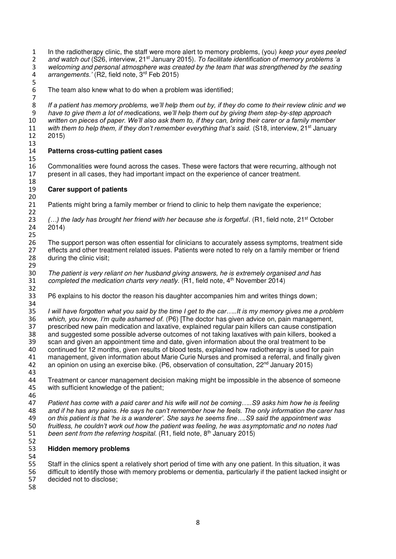In the radiotherapy clinic, the staff were more alert to memory problems, (you) *keep your eyes peeled*  and watch out (S26, interview, 21<sup>st</sup> January 2015). To facilitate identification of memory problems 'a <br>3 velcoming and personal atmosphere was created by the team that was strengthened by the seating *welcoming and personal atmosphere was created by the team that was strengthened by the seating*  4 *arrangements.'* (R2, field note, 3<sup>rd</sup> Feb 2015) 

The team also knew what to do when a problem was identified;

*If a patient has memory problems, we'll help them out by, if they do come to their review clinic and we have to give them a lot of medications, we'll help them out by giving them step-by-step approach*  written on pieces of paper. We'll also ask them to, if they can, bring their carer or a family member 11 with them to help them, if they don't remember everything that's said. (S18, interview, 21<sup>st</sup> January<br>12 2015) 

#### **Patterns cross-cutting patient cases**

 Commonalities were found across the cases. These were factors that were recurring, although not present in all cases, they had important impact on the experience of cancer treatment.

#### **Carer support of patients**

Patients might bring a family member or friend to clinic to help them navigate the experience;

23 (…) the lady has brought her friend with her because she is forgetful. (R1, field note, 21<sup>st</sup> October 24 2014) 

 The support person was often essential for clinicians to accurately assess symptoms, treatment side 27 effects and other treatment related issues. Patients were noted to rely on a family member or friend<br>28 during the clinic visit; during the clinic visit; 

 *The patient is very reliant on her husband giving answers, he is extremely organised and has completed the medication charts very neatly.* (R1, field note, 4<sup>th</sup> November 2014) 

P6 explains to his doctor the reason his daughter accompanies him and writes things down;

 *I will have forgotten what you said by the time I get to the car…..It is my memory gives me a problem which, you know, I'm quite ashamed of.* (P6) [The doctor has given advice on, pain management, prescribed new pain medication and laxative, explained regular pain killers can cause constipation and suggested some possible adverse outcomes of not taking laxatives with pain killers, booked a scan and given an appointment time and date, given information about the oral treatment to be continued for 12 months, given results of blood tests, explained how radiotherapy is used for pain management, given information about Marie Curie Nurses and promised a referral, and finally given 42 an opinion on using an exercise bike. (P6, observation of consultation,  $22<sup>nd</sup>$  January 2015) 

 Treatment or cancer management decision making might be impossible in the absence of someone with sufficient knowledge of the patient; 

 *Patient has come with a paid carer and his wife will not be coming…..S9 asks him how he is feeling and if he has any pains. He says he can't remember how he feels. The only information the carer has on this patient is that 'he is a wanderer'. She says he seems fine….S9 said the appointment was fruitless, he couldn't work out how the patient was feeling, he was asymptomatic and no notes had*  51 been sent from the referring hospital.  $(R1, \text{field note}, 8^{\text{th}})$  January 2015)

#### **Hidden memory problems**

 Staff in the clinics spent a relatively short period of time with any one patient. In this situation, it was difficult to identify those with memory problems or dementia, particularly if the patient lacked insight or decided not to disclose;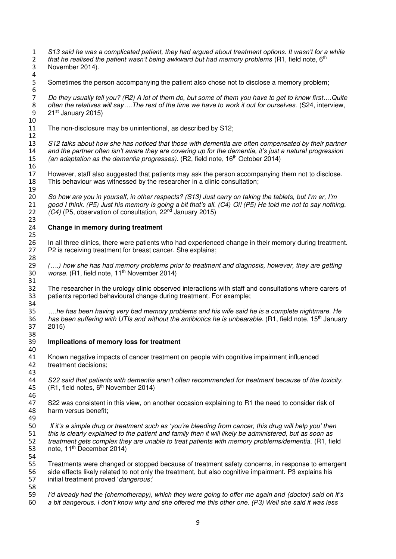*S13 said he was a complicated patient, they had argued about treatment options. It wasn't for a while that he realised the patient wasn't being awkward but had memory problems* (R1, field note, 6<sup>th</sup> 2014). November 2014). 

Sometimes the person accompanying the patient also chose not to disclose a memory problem;

*Do they usually tell you? (R2) A lot of them do, but some of them you have to get to know first....Quite* 8 *often the relatives will say...The rest of the time we have to work it out for ourselves. (S24, interview,* 8 often the relatives will say....The rest of the time we have to work it out for ourselves. (S24, interview,<br>9 21<sup>st</sup> January 2015)  $21<sup>st</sup>$  January 2015) 

The non-disclosure may be unintentional, as described by S12;

 *S12 talks about how she has noticed that those with dementia are often compensated by their partner and the partner often isn't aware they are covering up for the dementia, it's just a natural progression (an adaptation as the dementia progresses).* (R2, field note, 16<sup>th</sup> October 2014)

 However, staff also suggested that patients may ask the person accompanying them not to disclose. This behaviour was witnessed by the researcher in a clinic consultation;

 *So how are you in yourself, in other respects? (S13) Just carry on taking the tablets, but I'm er, I'm good I think. (P5) Just his memory is going a bit that's all. (C4) Oi! (P5) He told me not to say nothing. (C4)* (P5, observation of consultation, 22<sup>nd</sup> January 2015) 

#### **Change in memory during treatment**

 In all three clinics, there were patients who had experienced change in their memory during treatment. P2 is receiving treatment for breast cancer. She explains; 

 *(….) how she has had memory problems prior to treatment and diagnosis, however, they are getting worse.* (R1, field note, 11<sup>th</sup> November 2014)

 The researcher in the urology clinic observed interactions with staff and consultations where carers of patients reported behavioural change during treatment. For example;

 *….he has been having very bad memory problems and his wife said he is a complete nightmare. He*  36 has been suffering with UTIs and without the antibiotics he is unbearable. (R1, field note, 15<sup>th</sup> January 2015)

 **Implications of memory loss for treatment**  

 Known negative impacts of cancer treatment on people with cognitive impairment influenced treatment decisions;

 *S22 said that patients with dementia aren't often recommended for treatment because of the toxicity.*  (R1, field notes,  $6<sup>th</sup>$  November 2014)

47 S22 was consistent in this view, on another occasion explaining to R1 the need to consider risk of 48 harm versus benefit: harm versus benefit; 

 *If it's a simple drug or treatment such as 'you're bleeding from cancer, this drug will help you' then this is clearly explained to the patient and family then it will likely be administered, but as soon as treatment gets complex they are unable to treat patients with memory problems/dementia.* (R1, field 53 note, 11<sup>th</sup> December 2014) 

 Treatments were changed or stopped because of treatment safety concerns, in response to emergent side effects likely related to not only the treatment, but also cognitive impairment. P3 explains his initial treatment proved '*dangerous*;' 

 *I'd already had the (chemotherapy), which they were going to offer me again and (doctor) said oh it's a bit dangerous. I don't know why and she offered me this other one. (P3) Well she said it was less*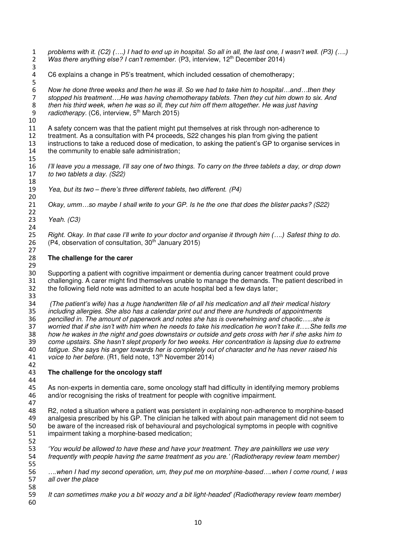*problems with it. (C2) (….) I had to end up in hospital. So all in all, the last one, I wasn't well. (P3) (….) Was there anything else? I can't remember.* (P3, interview, 12<sup>th</sup> December 2014) 

C6 explains a change in P5's treatment, which included cessation of chemotherapy;

*Now he done three weeks and then he was ill. So we had to take him to hospital…and…then they stopped his treatment….He was having chemotherapy tablets. Then they cut him down to six. And then his third week, when he was so ill, they cut him off them altogether. He was just having radiotherapy.* (C6, interview, 5<sup>th</sup> March 2015)

 A safety concern was that the patient might put themselves at risk through non-adherence to treatment. As a consultation with P4 proceeds, S22 changes his plan from giving the patient instructions to take a reduced dose of medication, to asking the patient's GP to organise services in the community to enable safe administration; 

 *I'll leave you a message, I'll say one of two things. To carry on the three tablets a day, or drop down to two tablets a day. (S22)* 

 *Yea, but its two – there's three different tablets, two different. (P4)*  

*Okay, umm…so maybe I shall write to your GP. Is he the one that does the blister packs? (S22)* 

*Yeah. (C3)* 

25 *Right. Okay. In that case I'll write to your doctor and organise it through him (....) Safest thing to do.* <br>26 *(P4, observation of consultation, 30<sup>th</sup> January 2015)* (P4, observation of consultation,  $30<sup>th</sup>$  January 2015)

#### **The challenge for the carer**

 30 Supporting a patient with cognitive impairment or dementia during cancer treatment could prove<br>31 challenging. A carer might find themselves unable to manage the demands. The patient describe 31 challenging. A carer might find themselves unable to manage the demands. The patient described in<br>32 the following field note was admitted to an acute hospital bed a few days later: the following field note was admitted to an acute hospital bed a few days later; 

 *(The patient's wife) has a huge handwritten file of all his medication and all their medical history including allergies. She also has a calendar print out and there are hundreds of appointments pencilled in. The amount of paperwork and notes she has is overwhelming and chaotic…..she is worried that if she isn't with him when he needs to take his medication he won't take it…..She tells me how he wakes in the night and goes downstairs or outside and gets cross with her if she asks him to come upstairs. She hasn't slept properly for two weeks. Her concentration is lapsing due to extreme fatigue. She says his anger towards her is completely out of character and he has never raised his voice to her before.* (R1, field note, 13<sup>th</sup> November 2014) 

#### **The challenge for the oncology staff**

45 As non-experts in dementia care, some oncology staff had difficulty in identifying memory problems 46 and/or recognising the risks of treatment for people with cognitive impolyment. and/or recognising the risks of treatment for people with cognitive impairment. 

48 R2, noted a situation where a patient was persistent in explaining non-adherence to morphine-based<br>49 analgesia prescribed by his GP. The clinician he talked with about pain management did not seem to 49 analgesia prescribed by his GP. The clinician he talked with about pain management did not seem to<br>50 be aware of the increased risk of behavioural and psychological symptoms in people with cognitive be aware of the increased risk of behavioural and psychological symptoms in people with cognitive impairment taking a morphine-based medication; 

 *'You would be allowed to have these and have your treatment. They are painkillers we use very frequently with people having the same treatment as you are.' (Radiotherapy review team member)*  

 *….when I had my second operation, um, they put me on morphine-based….when I come round, I was all over the place* 

 *It can sometimes make you a bit woozy and a bit light-headed' (Radiotherapy review team member)*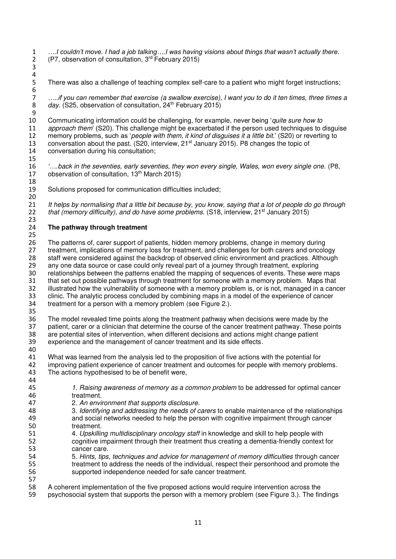*….I couldn't move. I had a job talking….I was having visions about things that wasn't actually there.* (P7, observation of consultation,  $3<sup>rd</sup>$  February 2015)

There was also a challenge of teaching complex self-care to a patient who might forget instructions;

*…..if you can remember that exercise (a swallow exercise), I want you to do it ten times, three times a*  day. (S25, observation of consultation, 24<sup>th</sup> February 2015)

 Communicating information could be challenging, for example, never being '*quite sure how to approach them*' (S20). This challenge might be exacerbated if the person used techniques to disguise memory problems, such as '*people with them, it kind of disguises it a little bit.*' (S20) or reverting to 13 conversation about the past. (S20, interview,  $21^{st}$  January 2015). P8 changes the topic of conversation during his consultation;

16 *'….back in the seventies, early seventies, they won every single, Wales, won every single one.* (P8, 17 observation of consultation, 13<sup>th</sup> March 2015) observation of consultation,  $13<sup>th</sup>$  March 2015)

 Solutions proposed for communication difficulties included; 

 *It helps by normalising that a little bit because by, you know, saying that a lot of people do go through*  22 that (memory difficulty), and do have some problems. (S18, interview, 21<sup>st</sup> January 2015)

#### **The pathway through treatment**

 

 The patterns of, carer support of patients, hidden memory problems, change in memory during 27 treatment, implications of memory loss for treatment, and challenges for both carers and oncology<br>28 staff were considered against the backdrop of observed clinic environment and practices. Although 28 staff were considered against the backdrop of observed clinic environment and practices. Although<br>29 any one data source or case could only reveal part of a journey through treatment, exploring 29 any one data source or case could only reveal part of a journey through treatment, exploring<br>20 relationships between the patterns enabled the mapping of sequences of events. These were 30 relationships between the patterns enabled the mapping of sequences of events. These were maps<br>31 that set out possible pathways through treatment for someone with a memory problem. Maps that that set out possible pathways through treatment for someone with a memory problem. Maps that illustrated how the vulnerability of someone with a memory problem is, or is not, managed in a cancer clinic. The analytic process concluded by combining maps in a model of the experience of cancer treatment for a person with a memory problem (see Figure 2.). 

 The model revealed time points along the treatment pathway when decisions were made by the patient, carer or a clinician that determine the course of the cancer treatment pathway. These points are potential sites of intervention, when different decisions and actions might change patient experience and the management of cancer treatment and its side effects.

 What was learned from the analysis led to the proposition of five actions with the potential for improving patient experience of cancer treatment and outcomes for people with memory problems. The actions hypothesised to be of benefit were, 

- *1. Raising awareness of memory as a common problem* to be addressed for optimal cancer treatment. 2. *An environment that supports disclosure*. 48 3. *Identifying and addressing the needs of carers* to enable maintenance of the relationships<br>49 and social networks needed to help the person with cognitive impairment through cancer and social networks needed to help the person with cognitive impairment through cancer treatment. 4. *Upskilling multidisciplinary oncology staff* in knowledge and skill to help people with cognitive impairment through their treatment thus creating a dementia-friendly context for cancer care. 5. *Hints, tips, techniques and advice for management of memory difficulties* through cancer treatment to address the needs of the individual, respect their personhood and promote the supported independence needed for safe cancer treatment. A coherent implementation of the five proposed actions would require intervention across the
- psychosocial system that supports the person with a memory problem (see Figure 3.). The findings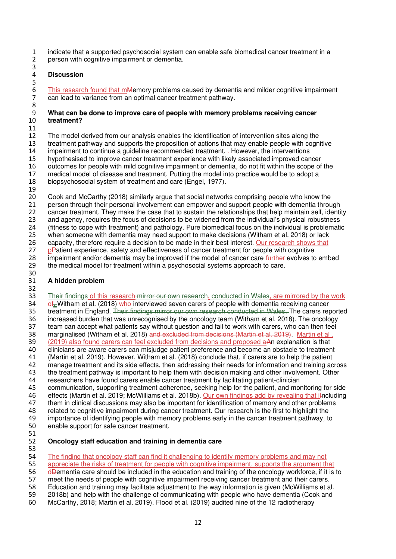indicate that a supported psychosocial system can enable safe biomedical cancer treatment in a person with cognitive impairment or dementia.

#### **Discussion**

This research found that mMemory problems caused by dementia and milder cognitive impairment can lead to variance from an optimal cancer treatment pathway.

#### **What can be done to improve care of people with memory problems receiving cancer treatment?**

 The model derived from our analysis enables the identification of intervention sites along the treatment pathway and supports the proposition of actions that may enable people with cognitive impairment to continue a guideline recommended treatment. . However, the interventions hypothesised to improve cancer treatment experience with likely associated improved cancer outcomes for people with mild cognitive impairment or dementia, do not fit within the scope of the medical model of disease and treatment. Putting the model into practice would be to adopt a biopsychosocial system of treatment and care (Engel, 1977).

 Cook and McCarthy (2018) similarly argue that social networks comprising people who know the person through their personal involvement can empower and support people with dementia through cancer treatment. They make the case that to sustain the relationships that help maintain self, identity and agency, requires the focus of decisions to be widened from the individual's physical robustness (fitness to cope with treatment) and pathology. Pure biomedical focus on the individual is problematic when someone with dementia may need support to make decisions (Witham et al. 2018) or lack 26 capacity, therefore require a decision to be made in their best interest. Our research shows that 27 pPatient experience, safety and effectiveness of cancer treatment for people with cognitive<br>28 impairment and/or dementia may be improved if the model of cancer care further evolves to 28 impairment and/or dementia may be improved if the model of cancer care **further** evolves to embed<br>29 the medical model for treatment within a psychosocial systems approach to care. the medical model for treatment within a psychosocial systems approach to care. 

#### **A hidden problem**

 33 Their findings of this research mirror our own research, conducted in Wales, are mirrored by the work of<sub> $\pm$ </sub> Witham et al. (2018) who interviewed seven carers of people with dementia receiving cancer 35 treatment in England. Their findings mirror our own research conducted in Wales. The carers reported increased burden that was unrecognised by the oncology team (Witham et al. 2018). The oncology team can accept what patients say without question and fail to work with carers, who can then feel 38 marginalised (Witham et al. 2018) and excluded from decisions (Martin et al. 2019). Martin et al. (2019) also found carers can feel excluded from decisions and proposed aAn explanation is that clinicians are aware carers can misjudge patient preference and become an obstacle to treatment (Martin et al. 2019). However, Witham et al. (2018) conclude that, if carers are to help the patient manage treatment and its side effects, then addressing their needs for information and training across the treatment pathway is important to help them with decision making and other involvement. Other researchers have found carers enable cancer treatment by facilitating patient-clinician 45 communication, supporting treatment adherence, seeking help for the patient, and monitoring for side<br>46 effects (Martin et al. 2019: McWilliams et al. 2018b). Our own findings add by revealing that il ncluding 46 effects (Martin et al. 2019; McWilliams et al. 2018b). <u>Our own findings add by revealing that i</u>Including<br>47 them in clinical discussions may also be important for identification of memory and other problems 47 them in clinical discussions may also be important for identification of memory and other problems<br>48 related to cognitive impairment during cancer treatment. Our research is the first to highlight the 48 related to cognitive impairment during cancer treatment. Our research is the first to highlight the 49 importance of identifying people with memory problems early in the cancer treatment pathway, to 49 importance of identifying people with memory problems early in the cancer treatment pathway, to<br>50 enable support for safe cancer treatment. enable support for safe cancer treatment.

#### **Oncology staff education and training in dementia care**

 The finding that oncology staff can find it challenging to identify memory problems and may not appreciate the risks of treatment for people with cognitive impairment, supports the argument that 56 dementia care should be included in the education and training of the oncology workforce, if it is to meet the needs of people with cognitive impairment receiving cancer treatment and their carers. 58 Education and training may facilitate adjustment to the way information is given (McWilliams et al.<br>59 2018b) and help with the challenge of communicating with people who have dementia (Cook and 2018b) and help with the challenge of communicating with people who have dementia (Cook and McCarthy, 2018; Martin et al. 2019). Flood et al. (2019) audited nine of the 12 radiotherapy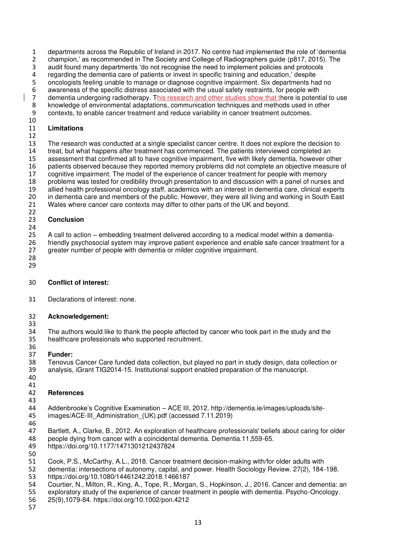1 departments across the Republic of Ireland in 2017. No centre had implemented the role of 'dementia<br>2 champion,' as recommended in The Society and College of Radiographers guide (p817, 2015). The

2 champion,' as recommended in The Society and College of Radiographers guide (p817, 2015). The audit found many departments 'do not recognise the need to implement policies and protocols audit found many departments 'do not recognise the need to implement policies and protocols

regarding the dementia care of patients or invest in specific training and education,' despite

oncologists feeling unable to manage or diagnose cognitive impairment. Six departments had no

awareness of the specific distress associated with the usual safety restraints, for people with

- 7 dementia undergoing radiotherapy. This research and other studies show that there is potential to use<br>8 knowledge of environmental adaptations, communication techniques and methods used in other
- 8 knowledge of environmental adaptations, communication techniques and methods used in other<br>9 contexts, to enable cancer treatment and reduce variability in cancer treatment outcomes. contexts, to enable cancer treatment and reduce variability in cancer treatment outcomes.

#### **Limitations**

 The research was conducted at a single specialist cancer centre. It does not explore the decision to treat, but what happens after treatment has commenced. The patients interviewed completed an assessment that confirmed all to have cognitive impairment, five with likely dementia, however other patients observed because they reported memory problems did not complete an objective measure of cognitive impairment. The model of the experience of cancer treatment for people with memory problems was tested for credibility through presentation to and discussion with a panel of nurses and 19 allied health professional oncology staff, academics with an interest in dementia care, clinical experts<br>20 in dementia care and members of the public. However, they were all living and working in South East in dementia care and members of the public. However, they were all living and working in South East Wales where cancer care contexts may differ to other parts of the UK and beyond.

#### **Conclusion**

 25 A call to action – embedding treatment delivered according to a medical model within a dementia-<br>26 friendly psychosocial system may improve patient experience and enable safe cancer treatment fo friendly psychosocial system may improve patient experience and enable safe cancer treatment for a greater number of people with dementia or milder cognitive impairment.

 

### **Conflict of interest:**

Declarations of interest: none.

#### **Acknowledgement:**

34 The authors would like to thank the people affected by cancer who took part in the study and the 35 healthcare professionals who supported recruitment. healthcare professionals who supported recruitment. 

 **Funder:**  Tenovus Cancer Care funded data collection, but played no part in study design, data collection or analysis, iGrant TIG2014-15. Institutional support enabled preparation of the manuscript. 

#### **References**

 Addenbrooke's Cognitive Examination – ACE III, 2012. [http://dementia.ie/images/uploads/site-](http://dementia.ie/images/uploads/site-images/ACE-III_Administration_(UK).pdf)45 images/ACE-III Administration (UK).pdf (accessed 7.11.2019)

- 
- Bartlett, A., Clarke, B., 2012. An exploration of healthcare professionals' beliefs about caring for older
- 48 people dying from cancer with a coincidental dementia. Dementia.11,559-65.<br>49 https://doi.org/10.1177/1471301212437824
- https:/[/doi.org/10.1177/1471301212437824](https://doi.org/10.1177%2F1471301212437824)
- 
- 51 Cook, P.S., McCarthy, A.L., 2018. Cancer treatment decision-making with/for older adults with<br>52 dementia: intersections of autonomy, capital, and power, Health Sociology Review, 27(2), 184- dementia: intersections of autonomy, capital, and power. Health Sociology Review. 27(2), 184-198. https:/[/doi.org/10.1080/14461242.2018.1466187](https://doi.org/10.1080/14461242.2018.1466187)
- 54 Courtier, N., Milton, R., King, A., Tope, R., Morgan, S., Hopkinson, J., 2016. Cancer and dementia: an<br>55 exploratory study of the experience of cancer treatment in people with dementia. Psycho-Oncology.
- exploratory study of the experience of cancer treatment in people with dementia. Psycho-Oncology.
- 25(9),1079-84. https:/[/doi.org/10.1002/pon.4212](https://doi.org/10.1002/pon.4212)
-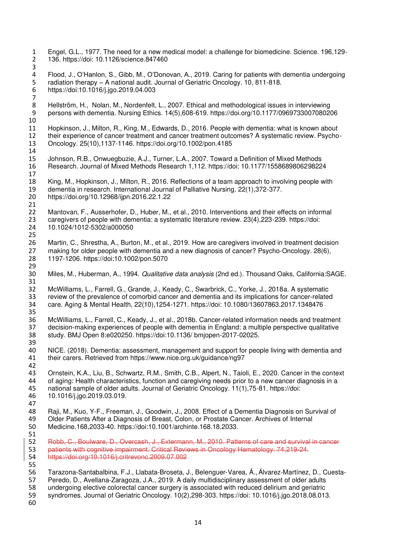Engel, G.L., 1977. The need for a new medical model: a challenge for biomedicine. Science. 196,129- 136. https://doi: 10.1126/science.847460 Flood, J., O'Hanlon, S., Gibb, M., O'Donovan, A., 2019. Caring for patients with dementia undergoing radiation therapy – A national audit. Journal of Geriatric Oncology. 10, 811-818. https://doi[:10.1016/j.jgo.2019.04.003](https://doi.org/10.1016/j.jgo.2019.04.003)  8 Hellström, H., Nolan, M., Nordenfelt, L., 2007. Ethical and methodological issues in interviewing<br>9 persons with dementia. Nursing Ethics. 14(5).608-619. https://doi.org/10.1177/096973300708020 persons with dementia. Nursing Ethics. 14(5),608-619. https:/[/doi.org/10.1177/0969733007080206](https://doi.org/10.1177%2F0969733007080206)  Hopkinson, J., Milton, R., King, M., Edwards, D., 2016. People with dementia: what is known about their experience of cancer treatment and cancer treatment outcomes? A systematic review. Psycho- Oncology. 25(10),1137-1146.<https://doi.org/10.1002/pon.4185> Johnson, R.B., Onwuegbuzie, A.J., Turner, L.A., 2007. Toward a Definition of Mixed Methods Research. Journal of Mixed Methods Research 1,112. https://doi: 10.1177/1558689806298224 King, M., Hopkinson, J., Milton, R., 2016. Reflections of a team approach to involving people with 19 dementia in research. International Journal of Palliative Nursing. 22(1),372-377.<br>20 https://doi.org/10.12968/ijpn.2016.22.1.22 <https://doi.org/10.12968/ijpn.2016.22.1.22> Mantovan, F., Ausserhofer, D., Huber, M., et al., 2010. Interventions and their effects on informal caregivers of people with dementia: a systematic literature review. 23(4),223-239. https://doi: 10.1024/1012-5302/a000050 26 Martin, C., Shrestha, A., Burton, M., et al., 2019. How are caregivers involved in treatment decision<br>27 making for older people with dementia and a new diagnosis of cancer? Psycho-Oncology. 28(6). [making for older people with dementia and a new diagnosis of cancer? P](http://apps.webofknowledge.com/full_record.do?product=WOS&search_mode=CitingArticles&qid=8&SID=C5HTkGFkNFpMBny5bbp&page=1&doc=2&cacheurlFromRightClick=no)sycho-Oncology. 28(6),<br>28 1197-1206. https://doi:10.1002/pon.5070 1197-1206. https://do[i:10.1002/pon.5070](https://dx.doi.org/10.1002%2Fpon.5070)  Miles, M., Huberman, A., 1994. *Qualitative data analysis* (2nd ed.). Thousand Oaks, California:SAGE. McWilliams, L., Farrell, G., Grande, J., Keady, C., Swarbrick, C., Yorke, J., 2018a. A systematic review of the prevalence of comorbid cancer and dementia and its implications for cancer-related care. Aging & Mental Health, 22(10),1254-1271. https://doi: 10.1080/13607863.2017.1348476 McWilliams, L., Farrell, C., Keady, J., et al., 2018b. Cancer-related information needs and treatment decision-making experiences of people with dementia in England: a multiple perspective qualitative study. BMJ Open 8:e020250. https://doi:10.1136/ bmjopen-2017-02025. NICE. (2018). Dementia: assessment, management and support for people living with dementia and their carers. Retrieved from<https://www.nice.org.uk/guidance/ng97> 43 Ornstein, K.A., Liu, B., Schwartz, R.M., Smith, C.B., Alpert, N., Taioli, E., 2020. Cancer in the context 44 of aging: Health characteristics, function and caregiving needs prior to a new cancer diagnosis in a 44 of aging: Health characteristics, function and caregiving needs prior to a new cancer diagnosis in a<br>45 national sample of older adults. Journal of Geriatric Oncology. 11(1),75-81. https://doi: 45 national sample of older adults. Journal of Geriatric Oncology. 11(1),75-81. https://doi:<br>46 10.1016/i.igo.2019.03.019. 10.1016/j.jgo.2019.03.019. Raji, M., Kuo, Y-F., Freeman, J., Goodwin, J., 2008. Effect of a Dementia Diagnosis on Survival of Older Patients After a Diagnosis of Breast, Colon, or Prostate Cancer. Archives of Internal Medicine.168,2033-40. https://doi:10.1001/archinte.168.18.2033. Robb, C., Boulware, D., Overcash, J., Extermann, M., 2010. Patterns of care and survival in cancer patients with cognitive impairment. Critical Reviews in Oncology Hematology. 74,219-24. https://doi.org/10.1016/j.critrevonc.2009.07.002 [Tarazona-Santabalbina, F.J.](https://www.ncbi.nlm.nih.gov/pubmed/?term=Tarazona-Santabalbina%20FJ%5BAuthor%5D&cauthor=true&cauthor_uid=30217699)[, Llabata-Broseta, J.](https://www.ncbi.nlm.nih.gov/pubmed/?term=Llabata-Broseta%20J%5BAuthor%5D&cauthor=true&cauthor_uid=30217699), [Belenguer-Varea, Á.](https://www.ncbi.nlm.nih.gov/pubmed/?term=Belenguer-Varea%20%C3%81%5BAuthor%5D&cauthor=true&cauthor_uid=30217699), [Álvarez-Martínez, D.](https://www.ncbi.nlm.nih.gov/pubmed/?term=%C3%81lvarez-Mart%C3%ADnez%20D%5BAuthor%5D&cauthor=true&cauthor_uid=30217699), Cuesta-<br>57 Peredo, D., Avellana-Zaragoza, J.A., 2019. A daily multidisciplinary assessment of older adults [Peredo, D.](https://www.ncbi.nlm.nih.gov/pubmed/?term=Cuesta-Peredo%20D%5BAuthor%5D&cauthor=true&cauthor_uid=30217699), [Avellana-Zaragoza, J.A.](https://www.ncbi.nlm.nih.gov/pubmed/?term=Avellana-Zaragoza%20JA%5BAuthor%5D&cauthor=true&cauthor_uid=30217699), 2019. A daily multidisciplinary assessment of older adults undergoing elective colorectal cancer surgery is associated with reduced delirium and geriatric syndromes. Journal of Geriatric Oncology. 10(2),298-303. https://doi: 10.1016/j.jgo.2018.08.013.